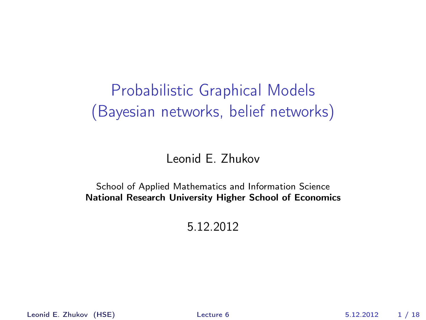# Probabilistic Graphical Models (Bayesian networks, belief networks)

#### Leonid E. Zhukov

#### School of Applied Mathematics and Information Science National Research University Higher School of Economics

5.12.2012

Leonid E. Zhukov (HSE) Lecture 6 5.12.2012 1 / 18

<span id="page-0-0"></span>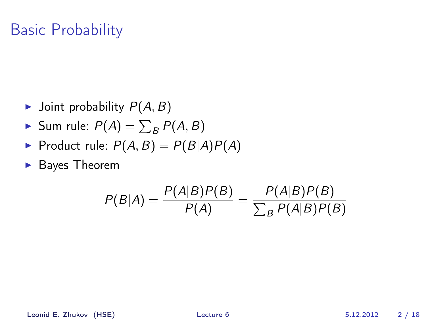## Basic Probability

- $\blacktriangleright$  Joint probability  $P(A, B)$
- $\blacktriangleright$  Sum rule:  $P(A) = \sum_B P(A, B)$
- Product rule:  $P(A, B) = P(B|A)P(A)$
- $\blacktriangleright$  Bayes Theorem

$$
P(B|A) = \frac{P(A|B)P(B)}{P(A)} = \frac{P(A|B)P(B)}{\sum_{B} P(A|B)P(B)}
$$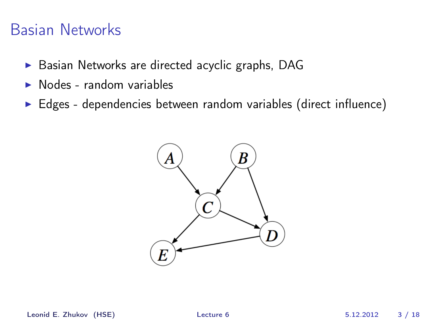#### Basian Networks

- ▶ Basian Networks are directed acyclic graphs, DAG
- $\triangleright$  Nodes random variables
- $\triangleright$  Edges dependencies between random variables (direct influence)

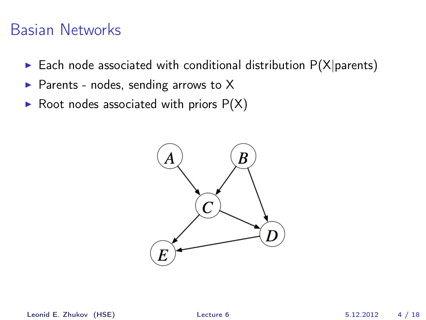#### Basian Networks

- Each node associated with conditional distribution  $P(X|{\text{parents}})$
- Parents nodes, sending arrows to  $X$
- $\triangleright$  Root nodes associated with priors  $P(X)$



Leonid E. Zhukov (HSE) [Lecture 6](#page-0-0) 5.12.2012 4 / 18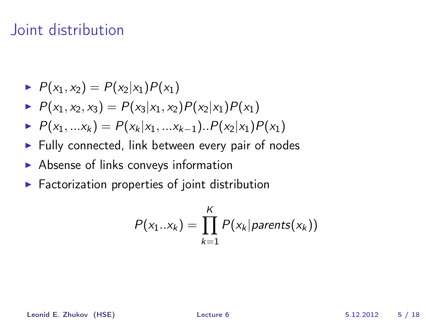#### Joint distribution

- $P(x_1, x_2) = P(x_2|x_1)P(x_1)$
- $P(x_1, x_2, x_3) = P(x_3|x_1, x_2)P(x_2|x_1)P(x_1)$
- $P(x_1, ... x_k) = P(x_k | x_1, ... x_{k-1}) \cdot P(x_2 | x_1) P(x_1)$
- $\blacktriangleright$  Fully connected, link between every pair of nodes
- $\triangleright$  Absense of links conveys information
- $\blacktriangleright$  Factorization properties of joint distribution

$$
P(x_1..x_k) = \prod_{k=1}^K P(x_k | parents(x_k))
$$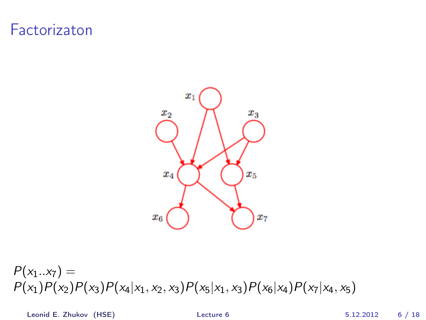#### Factorizaton



 $P(x_1..x_7) =$  $P(x_1)P(x_2)P(x_3)P(x_4|x_1, x_2, x_3)P(x_5|x_1, x_3)P(x_6|x_4)P(x_7|x_4, x_5)$ 

Leonid E. Zhukov (HSE) [Lecture 6](#page-0-0) 5.12.2012 6 / 18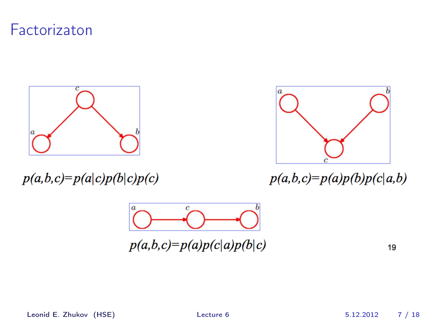### Factorizaton



 $p(a,b,c)=p(a|c)p(b|c)p(c)$ 



 $p(a,b,c)=p(a)p(b)p(c|a,b)$ 



 $p(a,b,c)=p(a)p(c|a)p(b|c)$ 

19

Leonid E. Zhukov (HSE) [Lecture 6](#page-0-0) 5.12.2012 7 / 18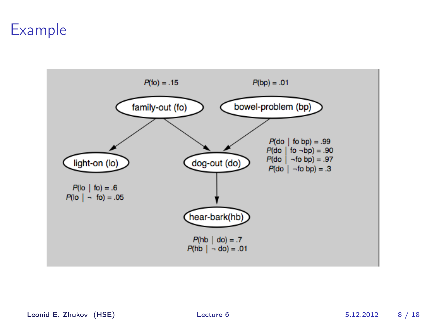### Example



Leonid E. Zhukov (HSE) [Lecture 6](#page-0-0) 5.12.2012 8 / 18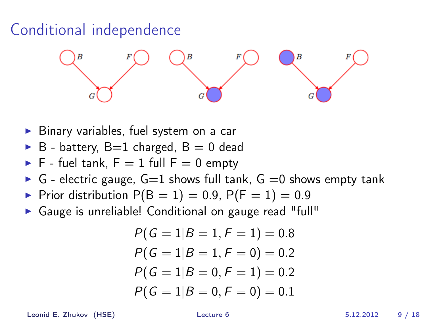# Conditional independence



- $\triangleright$  Binary variables, fuel system on a car
- $\triangleright$  B battery, B=1 charged, B = 0 dead
- $\blacktriangleright$  F fuel tank, F = 1 full F = 0 empty
- $\triangleright$  G electric gauge, G=1 shows full tank, G =0 shows empty tank
- Prior distribution  $P(B = 1) = 0.9$ ,  $P(F = 1) = 0.9$
- ▶ Gauge is unreliable! Conditional on gauge read "full"

$$
P(G = 1|B = 1, F = 1) = 0.8
$$
  
\n
$$
P(G = 1|B = 1, F = 0) = 0.2
$$
  
\n
$$
P(G = 1|B = 0, F = 1) = 0.2
$$
  
\n
$$
P(G = 1|B = 0, F = 0) = 0.1
$$

Leonid E. Zhukov (HSE) [Lecture 6](#page-0-0) 5.12.2012 9 / 18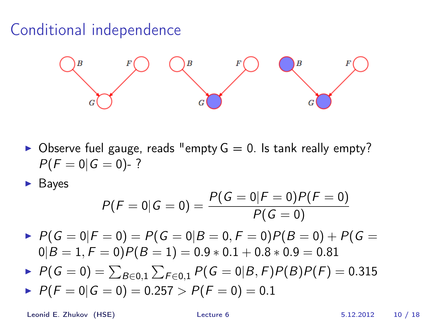# Conditional independence



 $\triangleright$  Observe fuel gauge, reads "empty  $G = 0$ . Is tank really empty?  $P(F = 0|G = 0)$ -?

**Bayes** 

$$
P(F = 0|G = 0) = \frac{P(G = 0|F = 0)P(F = 0)}{P(G = 0)}
$$

 $P(G = 0|F = 0) = P(G = 0|B = 0, F = 0)P(B = 0) + P(G = 0)$  $0|B = 1, F = 0$ ) $P(B = 1) = 0.9 * 0.1 + 0.8 * 0.9 = 0.81$ 

- $P(\mathsf{G}=0)=\sum_{B\in{0,1}}\sum_{F\in{0,1}}P(\mathsf{G}=0|B,F)P(B)P(F)=0.315$
- $P(F = 0|G = 0) = 0.257 > P(F = 0) = 0.1$

Leonid E. Zhukov (HSE) [Lecture 6](#page-0-0) 5.12.2012 10 / 18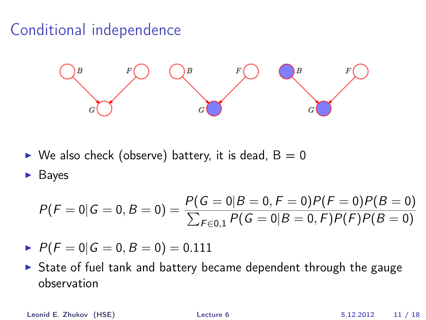# Conditional independence



 $\triangleright$  We also check (observe) battery, it is dead, B = 0

**Bayes** 

$$
P(F = 0|G = 0, B = 0) = \frac{P(G = 0|B = 0, F = 0)P(F = 0)P(B = 0)}{\sum_{F \in 0,1} P(G = 0|B = 0, F)P(F)P(B = 0)}
$$

- $P(F = 0|G = 0, B = 0) = 0.111$
- $\triangleright$  State of fuel tank and battery became dependent through the gauge observation

Leonid E. Zhukov (HSE) [Lecture 6](#page-0-0) 5.12.2012 11 / 18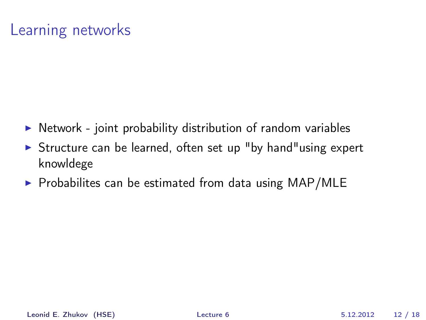# Learning networks

- $\triangleright$  Network joint probability distribution of random variables
- $\triangleright$  Structure can be learned, often set up "by hand" using expert knowldege
- $\triangleright$  Probabilites can be estimated from data using MAP/MLE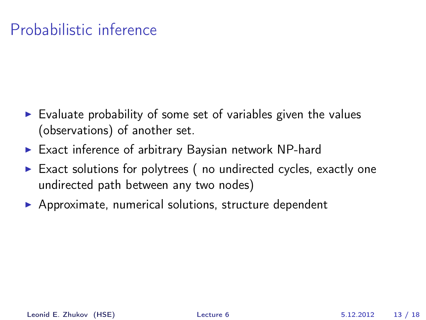# Probabilistic inference

- $\triangleright$  Evaluate probability of some set of variables given the values (observations) of another set.
- $\triangleright$  Exact inference of arbitrary Baysian network NP-hard
- $\triangleright$  Exact solutions for polytrees (no undirected cycles, exactly one undirected path between any two nodes)
- $\triangleright$  Approximate, numerical solutions, structure dependent